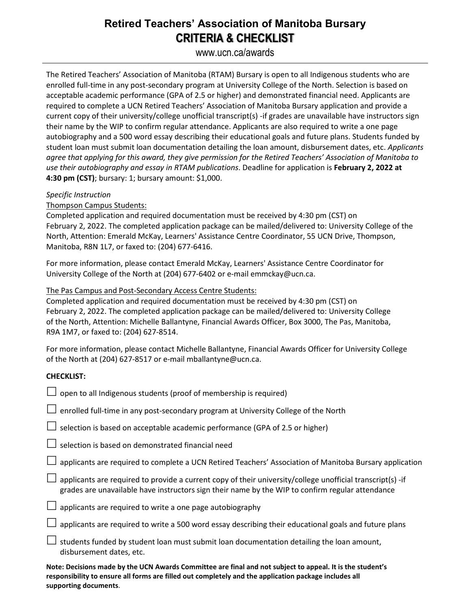# **Retired Teachers' Association of Manitoba Bursary CRITERIA & CHECKLIST**

## www.ucn.ca/awards

The Retired Teachers' Association of Manitoba (RTAM) Bursary is open to all Indigenous students who are enrolled full-time in any post-secondary program at University College of the North. Selection is based on acceptable academic performance (GPA of 2.5 or higher) and demonstrated financial need. Applicants are required to complete a UCN Retired Teachers' Association of Manitoba Bursary application and provide a current copy of their university/college unofficial transcript(s) -if grades are unavailable have instructors sign their name by the WIP to confirm regular attendance. Applicants are also required to write a one page autobiography and a 500 word essay describing their educational goals and future plans. Students funded by student loan must submit loan documentation detailing the loan amount, disbursement dates, etc. *Applicants agree that applying for this award, they give permission for the Retired Teachers' Association of Manitoba to use their autobiography and essay in RTAM publications*. Deadline for application is **February 2, 2022 at 4:30 pm (CST)**; bursary: 1; bursary amount: \$1,000.

#### *Specific Instruction*

Thompson Campus Students:

Completed application and required documentation must be received by 4:30 pm (CST) on February 2, 2022. The completed application package can be mailed/delivered to: University College of the North, Attention: Emerald McKay, Learners' Assistance Centre Coordinator, 55 UCN Drive, Thompson, Manitoba, R8N 1L7, or faxed to: (204) 677-6416.

For more information, please contact Emerald McKay, Learners' Assistance Centre Coordinator for University College of the North at (204) 677-6402 or e-mail emmckay@ucn.ca.

#### The Pas Campus and Post-Secondary Access Centre Students:

Completed application and required documentation must be received by 4:30 pm (CST) on February 2, 2022. The completed application package can be mailed/delivered to: University College of the North, Attention: Michelle Ballantyne, Financial Awards Officer, Box 3000, The Pas, Manitoba, R9A 1M7, or faxed to: (204) 627-8514.

For more information, please contact Michelle Ballantyne, Financial Awards Officer for University College of the North at (204) 627-8517 or e-mail mballantyne@ucn.ca.

## **CHECKLIST:**

| $\Box$ open to all Indigenous students (proof of membership is required)                                                                                                                                              |
|-----------------------------------------------------------------------------------------------------------------------------------------------------------------------------------------------------------------------|
| $\Box$ enrolled full-time in any post-secondary program at University College of the North                                                                                                                            |
| $\Box$ selection is based on acceptable academic performance (GPA of 2.5 or higher)                                                                                                                                   |
| $\Box$ selection is based on demonstrated financial need                                                                                                                                                              |
| $\Box$ applicants are required to complete a UCN Retired Teachers' Association of Manitoba Bursary application                                                                                                        |
| $\Box$ applicants are required to provide a current copy of their university/college unofficial transcript(s) -if<br>grades are unavailable have instructors sign their name by the WIP to confirm regular attendance |
| $\Box$ applicants are required to write a one page autobiography                                                                                                                                                      |
| $\Box$ applicants are required to write a 500 word essay describing their educational goals and future plans                                                                                                          |
| $\Box$ students funded by student loan must submit loan documentation detailing the loan amount,<br>disbursement dates, etc.                                                                                          |
| Nata: Daalalana maala ku tha UCN Auranda Cammittaa ana final and nat qubiast ta annaal. It is tha studentla                                                                                                           |

**Note: Decisions made by the UCN Awards Committee are final and not subject to appeal. It is the student's responsibility to ensure all forms are filled out completely and the application package includes all supporting documents**.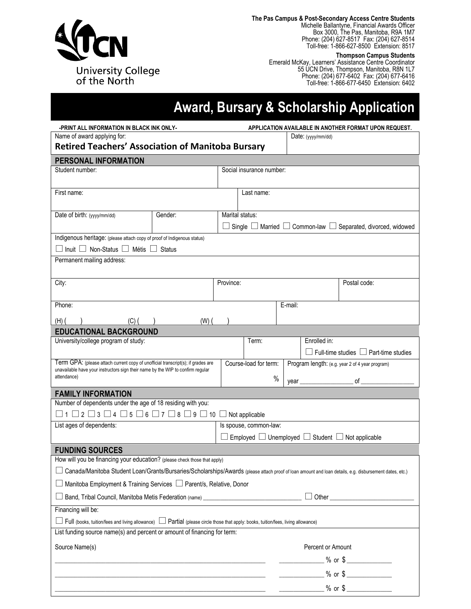

**The Pas Campus & Post-Secondary Access Centre Students**

Michelle Ballantyne, Financial Awards Officer Box 3000, The Pas, Manitoba, R9A 1M7 Phone: (204) 627-8517 Fax: (204) 627-8514 Toll-free: 1-866-627-8500 Extension: 8517

**Thompson Campus Students**

Emerald McKay, Learners' Assistance Centre Coordinator 55 UCN Drive, Thompson, Manitoba, R8N 1L7 Phone: (204) 677-6402 Fax: (204) 677-6416 Toll-free: 1-866-677-6450 Extension: 6402

# **Award, Bursary & Scholarship Application**

|                                                                                                                                                                                                                                                                                                                     | -PRINT ALL INFORMATION IN BLACK INK ONLY-<br>APPLICATION AVAILABLE IN ANOTHER FORMAT UPON REQUEST. |  |                                                                          |                   |                    |                                                                                    |  |
|---------------------------------------------------------------------------------------------------------------------------------------------------------------------------------------------------------------------------------------------------------------------------------------------------------------------|----------------------------------------------------------------------------------------------------|--|--------------------------------------------------------------------------|-------------------|--------------------|------------------------------------------------------------------------------------|--|
| Name of award applying for:                                                                                                                                                                                                                                                                                         |                                                                                                    |  | Date: $(yyy/mm/dd)$                                                      |                   |                    |                                                                                    |  |
| <b>Retired Teachers' Association of Manitoba Bursary</b>                                                                                                                                                                                                                                                            |                                                                                                    |  |                                                                          |                   |                    |                                                                                    |  |
| PERSONAL INFORMATION                                                                                                                                                                                                                                                                                                |                                                                                                    |  |                                                                          |                   |                    |                                                                                    |  |
| Student number:                                                                                                                                                                                                                                                                                                     |                                                                                                    |  | Social insurance number:                                                 |                   |                    |                                                                                    |  |
|                                                                                                                                                                                                                                                                                                                     |                                                                                                    |  |                                                                          |                   |                    |                                                                                    |  |
| First name:                                                                                                                                                                                                                                                                                                         |                                                                                                    |  | Last name:                                                               |                   |                    |                                                                                    |  |
|                                                                                                                                                                                                                                                                                                                     |                                                                                                    |  |                                                                          |                   |                    |                                                                                    |  |
| Date of birth: (yyyy/mm/dd)                                                                                                                                                                                                                                                                                         | Gender:                                                                                            |  | Marital status:                                                          |                   |                    |                                                                                    |  |
|                                                                                                                                                                                                                                                                                                                     |                                                                                                    |  |                                                                          |                   |                    | $\Box$ Single $\Box$ Married $\Box$ Common-law $\Box$ Separated, divorced, widowed |  |
| Indigenous heritage: (please attach copy of proof of Indigenous status)                                                                                                                                                                                                                                             |                                                                                                    |  |                                                                          |                   |                    |                                                                                    |  |
| $\Box$ Inuit $\Box$ Non-Status $\Box$ Métis $\Box$ Status                                                                                                                                                                                                                                                           |                                                                                                    |  |                                                                          |                   |                    |                                                                                    |  |
| Permanent mailing address:                                                                                                                                                                                                                                                                                          |                                                                                                    |  |                                                                          |                   |                    |                                                                                    |  |
|                                                                                                                                                                                                                                                                                                                     |                                                                                                    |  |                                                                          |                   |                    |                                                                                    |  |
| City:                                                                                                                                                                                                                                                                                                               |                                                                                                    |  | Province:                                                                |                   |                    | Postal code:                                                                       |  |
| Phone:                                                                                                                                                                                                                                                                                                              |                                                                                                    |  |                                                                          | E-mail:           |                    |                                                                                    |  |
|                                                                                                                                                                                                                                                                                                                     |                                                                                                    |  |                                                                          |                   |                    |                                                                                    |  |
| $(H)$ (<br>$(C)$ ( )                                                                                                                                                                                                                                                                                                | $(W)$ (                                                                                            |  |                                                                          |                   |                    |                                                                                    |  |
| <b>EDUCATIONAL BACKGROUND</b>                                                                                                                                                                                                                                                                                       |                                                                                                    |  |                                                                          |                   |                    |                                                                                    |  |
| University/college program of study:                                                                                                                                                                                                                                                                                |                                                                                                    |  | Term:                                                                    |                   | Enrolled in:       |                                                                                    |  |
|                                                                                                                                                                                                                                                                                                                     |                                                                                                    |  |                                                                          |                   |                    | $\Box$ Full-time studies $\Box$ Part-time studies                                  |  |
| Term GPA: (please attach current copy of unofficial transcript(s); if grades are<br>unavailable have your instructors sign their name by the WIP to confirm regular                                                                                                                                                 |                                                                                                    |  | Course-load for term:<br>Program length: (e.g. year 2 of 4 year program) |                   |                    |                                                                                    |  |
| attendance)                                                                                                                                                                                                                                                                                                         |                                                                                                    |  | $\%$                                                                     |                   | year $\frac{1}{2}$ | of                                                                                 |  |
| <b>FAMILY INFORMATION</b>                                                                                                                                                                                                                                                                                           |                                                                                                    |  |                                                                          |                   |                    |                                                                                    |  |
| Number of dependents under the age of 18 residing with you:                                                                                                                                                                                                                                                         |                                                                                                    |  |                                                                          |                   |                    |                                                                                    |  |
| $\Box$ 1 $\Box$ 2 $\Box$ 3 $\Box$ 4 $\Box$ 5 $\Box$ 6 $\Box$ 7 $\Box$ 8 $\Box$ 9 $\Box$ 10 $\Box$ Not applicable                                                                                                                                                                                                    |                                                                                                    |  |                                                                          |                   |                    |                                                                                    |  |
| List ages of dependents:                                                                                                                                                                                                                                                                                            |                                                                                                    |  | Is spouse, common-law:                                                   |                   |                    |                                                                                    |  |
| Employed $\Box$ Unemployed $\Box$ Student $\Box$ Not applicable                                                                                                                                                                                                                                                     |                                                                                                    |  |                                                                          |                   |                    |                                                                                    |  |
| <b>FUNDING SOURCES</b>                                                                                                                                                                                                                                                                                              |                                                                                                    |  |                                                                          |                   |                    |                                                                                    |  |
| How will you be financing your education? (please check those that apply)                                                                                                                                                                                                                                           |                                                                                                    |  |                                                                          |                   |                    |                                                                                    |  |
| Canada/Manitoba Student Loan/Grants/Bursaries/Scholarships/Awards (please attach proof of loan amount and loan details, e.g. disbursement dates, etc.)                                                                                                                                                              |                                                                                                    |  |                                                                          |                   |                    |                                                                                    |  |
| Manitoba Employment & Training Services □ Parent/s, Relative, Donor                                                                                                                                                                                                                                                 |                                                                                                    |  |                                                                          |                   |                    |                                                                                    |  |
| Band, Tribal Council, Manitoba Metis Federation (name) __________________________<br>Other experiences and the state of the state of the state of the state of the state of the state of the state of the state of the state of the state of the state of the state of the state of the state of the state of the s |                                                                                                    |  |                                                                          |                   |                    |                                                                                    |  |
| Financing will be:                                                                                                                                                                                                                                                                                                  |                                                                                                    |  |                                                                          |                   |                    |                                                                                    |  |
| $\Box$ Full (books, tuition/fees and living allowance) $\Box$ Partial (please circle those that apply: books, tuition/fees, living allowance)                                                                                                                                                                       |                                                                                                    |  |                                                                          |                   |                    |                                                                                    |  |
| List funding source name(s) and percent or amount of financing for term:                                                                                                                                                                                                                                            |                                                                                                    |  |                                                                          |                   |                    |                                                                                    |  |
| Source Name(s)                                                                                                                                                                                                                                                                                                      |                                                                                                    |  |                                                                          | Percent or Amount |                    |                                                                                    |  |
|                                                                                                                                                                                                                                                                                                                     |                                                                                                    |  |                                                                          |                   |                    | $\frac{1}{2}$ % or \$                                                              |  |
|                                                                                                                                                                                                                                                                                                                     |                                                                                                    |  |                                                                          |                   |                    |                                                                                    |  |
|                                                                                                                                                                                                                                                                                                                     |                                                                                                    |  |                                                                          |                   |                    |                                                                                    |  |
|                                                                                                                                                                                                                                                                                                                     |                                                                                                    |  |                                                                          |                   |                    | $\frac{1}{2}$ % or \$                                                              |  |